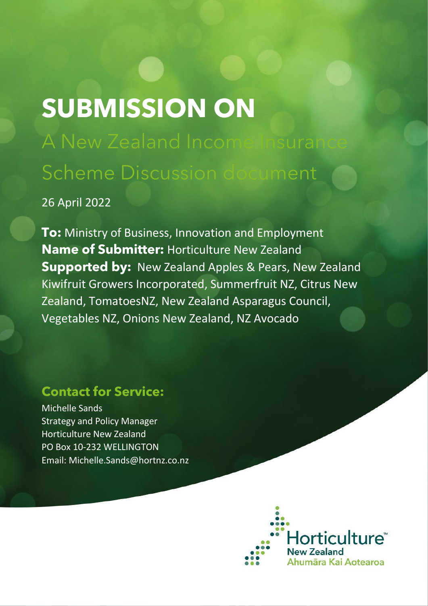# **SUBMISSION ON**

A New Zealand Incom Scheme Discussion document

# 26 April 2022

**To:** Ministry of Business, Innovation and Employment **Name of Submitter:** Horticulture New Zealand **Supported by:** New Zealand Apples & Pears, New Zealand Kiwifruit Growers Incorporated, Summerfruit NZ, Citrus New Zealand, TomatoesNZ, New Zealand Asparagus Council, Vegetables NZ, Onions New Zealand, NZ Avocado

# **Contact for Service:**

Michelle Sands Strategy and Policy Manager Horticulture New Zealand PO Box 10-232 WELLINGTON Email: Michelle.Sands@hortnz.co.nz

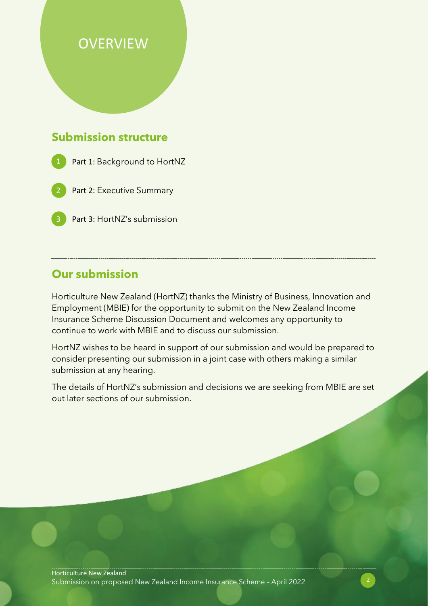# **OVERVIEW**

## **Submission structure**

- Part 1: Background to HortNZ
- Part 2: Executive Summary
- Part 3: HortNZ's submission

## **Our submission**

Horticulture New Zealand (HortNZ) thanks the Ministry of Business, Innovation and Employment (MBIE) for the opportunity to submit on the New Zealand Income Insurance Scheme Discussion Document and welcomes any opportunity to continue to work with MBIE and to discuss our submission.

HortNZ wishes to be heard in support of our submission and would be prepared to consider presenting our submission in a joint case with others making a similar submission at any hearing.

The details of HortNZ's submission and decisions we are seeking from MBIE are set out later sections of our submission.

Horticulture New Zealand Submission on proposed New Zealand Income Insurance Scheme – April 2022 2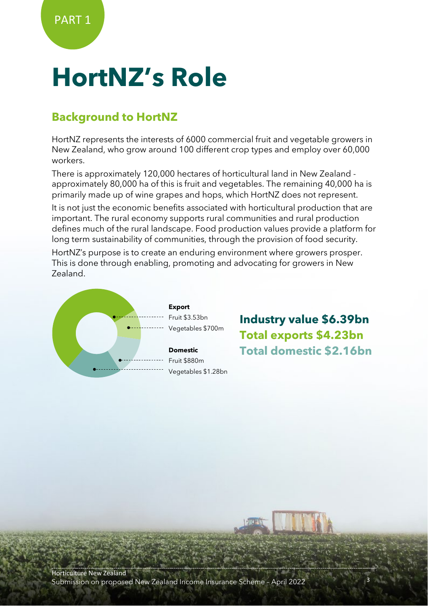# **HortNZ's Role**

## **Background to HortNZ**

HortNZ represents the interests of 6000 commercial fruit and vegetable growers in New Zealand, who grow around 100 different crop types and employ over 60,000 workers.

There is approximately 120,000 hectares of horticultural land in New Zealand approximately 80,000 ha of this is fruit and vegetables. The remaining 40,000 ha is primarily made up of wine grapes and hops, which HortNZ does not represent.

It is not just the economic benefits associated with horticultural production that are important. The rural economy supports rural communities and rural production defines much of the rural landscape. Food production values provide a platform for long term sustainability of communities, through the provision of food security.

HortNZ's purpose is to create an enduring environment where growers prosper. This is done through enabling, promoting and advocating for growers in New Zealand.



**Industry value \$6.39bn Total exports \$4.23bn Total domestic \$2.16bn**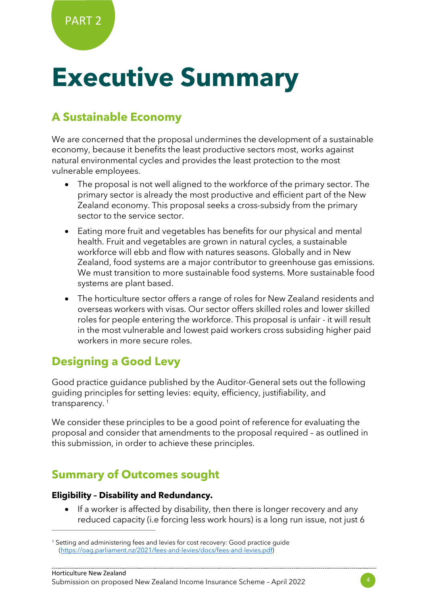# **Executive Summary**

## **A Sustainable Economy**

We are concerned that the proposal undermines the development of a sustainable economy, because it benefits the least productive sectors most, works against natural environmental cycles and provides the least protection to the most vulnerable employees.

- The proposal is not well aligned to the workforce of the primary sector. The primary sector is already the most productive and efficient part of the New Zealand economy. This proposal seeks a cross-subsidy from the primary sector to the service sector.
- Eating more fruit and vegetables has benefits for our physical and mental health. Fruit and vegetables are grown in natural cycles, a sustainable workforce will ebb and flow with natures seasons. Globally and in New Zealand, food systems are a major contributor to greenhouse gas emissions. We must transition to more sustainable food systems. More sustainable food systems are plant based.
- The horticulture sector offers a range of roles for New Zealand residents and overseas workers with visas. Our sector offers skilled roles and lower skilled roles for people entering the workforce. This proposal is unfair - it will result in the most vulnerable and lowest paid workers cross subsiding higher paid workers in more secure roles.

## **Designing a Good Levy**

Good practice guidance published by the Auditor-General sets out the following guiding principles for setting levies: equity, efficiency, justifiability, and transparency.<sup>[1](#page-3-0)</sup>

We consider these principles to be a good point of reference for evaluating the proposal and consider that amendments to the proposal required – as outlined in this submission, in order to achieve these principles.

# **Summary of Outcomes sought**

#### **Eligibility – Disability and Redundancy.**

If a worker is affected by disability, then there is longer recovery and any reduced capacity (i.e forcing less work hours) is a long run issue, not just 6



<span id="page-3-0"></span><sup>&</sup>lt;sup>1</sup> Setting and administering fees and levies for cost recovery: Good practice guide [\(https://oag.parliament.nz/2021/fees-and-levies/docs/fees-and-levies.pdf\)](https://oag.parliament.nz/2021/fees-and-levies/docs/fees-and-levies.pdf)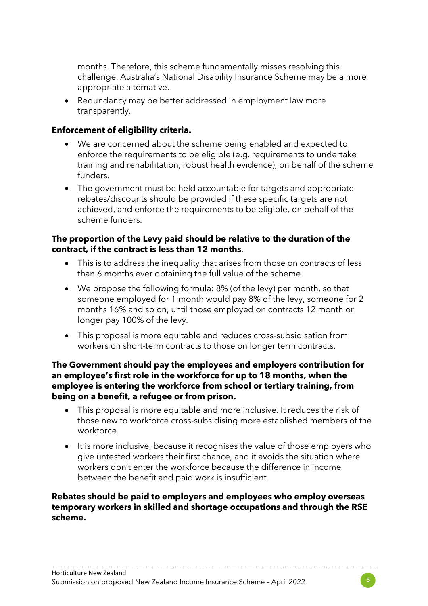months. Therefore, this scheme fundamentally misses resolving this challenge. Australia's National Disability Insurance Scheme may be a more appropriate alternative.

• Redundancy may be better addressed in employment law more transparently.

#### **Enforcement of eligibility criteria.**

- We are concerned about the scheme being enabled and expected to enforce the requirements to be eligible (e.g. requirements to undertake training and rehabilitation, robust health evidence), on behalf of the scheme funders.
- The government must be held accountable for targets and appropriate rebates/discounts should be provided if these specific targets are not achieved, and enforce the requirements to be eligible, on behalf of the scheme funders.

#### **The proportion of the Levy paid should be relative to the duration of the contract, if the contract is less than 12 months**.

- This is to address the inequality that arises from those on contracts of less than 6 months ever obtaining the full value of the scheme.
- We propose the following formula: 8% (of the levy) per month, so that someone employed for 1 month would pay 8% of the levy, someone for 2 months 16% and so on, until those employed on contracts 12 month or longer pay 100% of the levy.
- This proposal is more equitable and reduces cross-subsidisation from workers on short-term contracts to those on longer term contracts.

#### **The Government should pay the employees and employers contribution for an employee's first role in the workforce for up to 18 months, when the employee is entering the workforce from school or tertiary training, from being on a benefit, a refugee or from prison.**

- This proposal is more equitable and more inclusive. It reduces the risk of those new to workforce cross-subsidising more established members of the workforce.
- It is more inclusive, because it recognises the value of those employers who give untested workers their first chance, and it avoids the situation where workers don't enter the workforce because the difference in income between the benefit and paid work is insufficient.

#### **Rebates should be paid to employers and employees who employ overseas temporary workers in skilled and shortage occupations and through the RSE scheme.**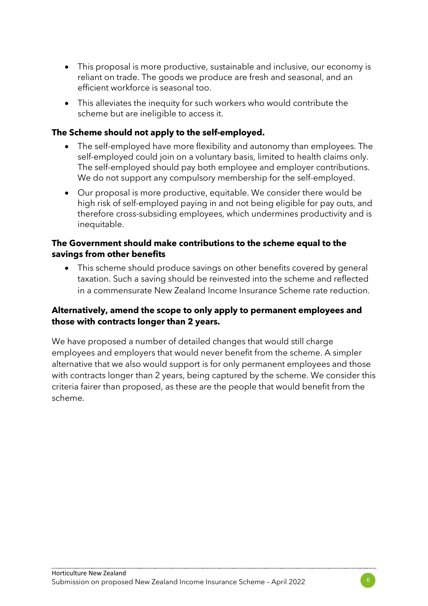- This proposal is more productive, sustainable and inclusive, our economy is reliant on trade. The goods we produce are fresh and seasonal, and an efficient workforce is seasonal too.
- This alleviates the inequity for such workers who would contribute the scheme but are ineligible to access it.

#### **The Scheme should not apply to the self-employed.**

- The self-employed have more flexibility and autonomy than employees. The self-employed could join on a voluntary basis, limited to health claims only. The self-employed should pay both employee and employer contributions. We do not support any compulsory membership for the self-employed.
- Our proposal is more productive, equitable. We consider there would be high risk of self-employed paying in and not being eligible for pay outs, and therefore cross-subsiding employees, which undermines productivity and is inequitable.

#### **The Government should make contributions to the scheme equal to the savings from other benefits**

• This scheme should produce savings on other benefits covered by general taxation. Such a saving should be reinvested into the scheme and reflected in a commensurate New Zealand Income Insurance Scheme rate reduction.

#### **Alternatively, amend the scope to only apply to permanent employees and those with contracts longer than 2 years.**

We have proposed a number of detailed changes that would still charge employees and employers that would never benefit from the scheme. A simpler alternative that we also would support is for only permanent employees and those with contracts longer than 2 years, being captured by the scheme. We consider this criteria fairer than proposed, as these are the people that would benefit from the scheme.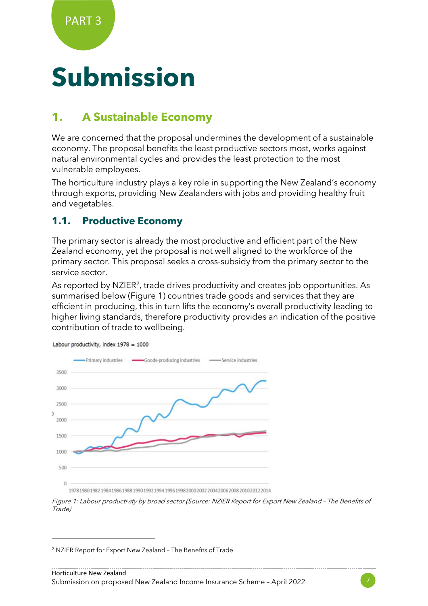# **Submission**

# **1. A Sustainable Economy**

We are concerned that the proposal undermines the development of a sustainable economy. The proposal benefits the least productive sectors most, works against natural environmental cycles and provides the least protection to the most vulnerable employees.

The horticulture industry plays a key role in supporting the New Zealand's economy through exports, providing New Zealanders with jobs and providing healthy fruit and vegetables.

### **1.1. Productive Economy**

The primary sector is already the most productive and efficient part of the New Zealand economy, yet the proposal is not well aligned to the workforce of the primary sector. This proposal seeks a cross-subsidy from the primary sector to the service sector.

As reported by NZIER<sup>[2](#page-6-0)</sup>, trade drives productivity and creates job opportunities. As summarised below (Figure 1) countries trade goods and services that they are efficient in producing, this in turn lifts the economy's overall productivity leading to higher living standards, therefore productivity provides an indication of the positive contribution of trade to wellbeing.



Labour productivity, index 1978 = 1000

<sup>1978198019821984198619881990199219941996199820002002200420062008201020122014</sup> 

Figure 1: Labour productivity by broad sector (Source: NZIER Report for Export New Zealand – The Benefits of Trade)

<span id="page-6-0"></span><sup>2</sup> NZIER Report for Export New Zealand – The Benefits of Trade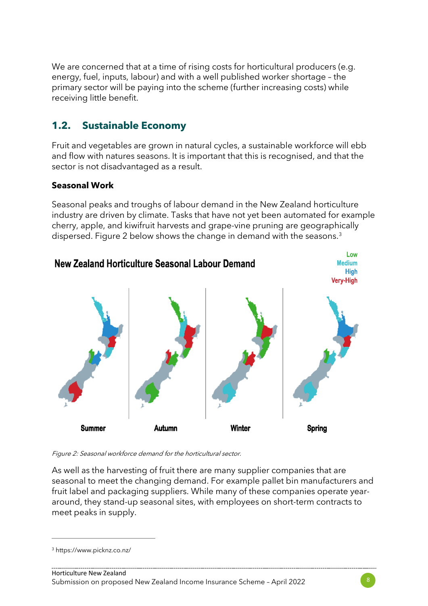We are concerned that at a time of rising costs for horticultural producers (e.g. energy, fuel, inputs, labour) and with a well published worker shortage – the primary sector will be paying into the scheme (further increasing costs) while receiving little benefit.

## **1.2. Sustainable Economy**

Fruit and vegetables are grown in natural cycles, a sustainable workforce will ebb and flow with natures seasons. It is important that this is recognised, and that the sector is not disadvantaged as a result.

#### **Seasonal Work**

Seasonal peaks and troughs of labour demand in the New Zealand horticulture industry are driven by climate. Tasks that have not yet been automated for example cherry, apple, and kiwifruit harvests and grape-vine pruning are geographically dispersed. Figure 2 below shows the change in demand with the seasons.<sup>3</sup>



Figure 2: Seasonal workforce demand for the horticultural sector.

As well as the harvesting of fruit there are many supplier companies that are seasonal to meet the changing demand. For example pallet bin manufacturers and fruit label and packaging suppliers. While many of these companies operate yeararound, they stand-up seasonal sites, with employees on short-term contracts to meet peaks in supply.



<span id="page-7-0"></span><sup>3</sup> https://www.picknz.co.nz/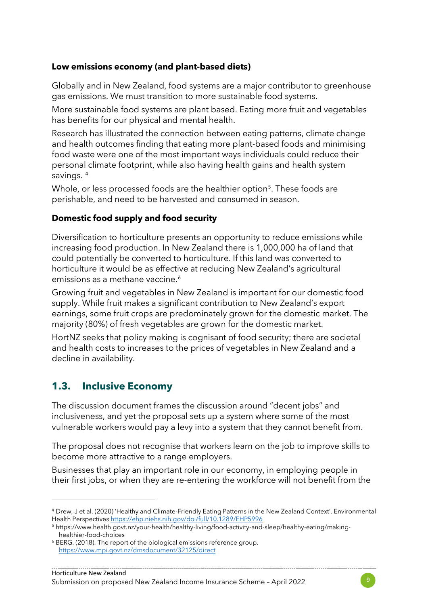#### **Low emissions economy (and plant-based diets)**

Globally and in New Zealand, food systems are a major contributor to greenhouse gas emissions. We must transition to more sustainable food systems.

More sustainable food systems are plant based. Eating more fruit and vegetables has benefits for our physical and mental health.

Research has illustrated the connection between eating patterns, climate change and health outcomes finding that eating more plant-based foods and minimising food waste were one of the most important ways individuals could reduce their personal climate footprint, while also having health gains and health system savings. [4](#page-8-0)

Whole, or less processed foods are the healthier option<sup>[5](#page-8-1)</sup>. These foods are perishable, and need to be harvested and consumed in season.

#### **Domestic food supply and food security**

Diversification to horticulture presents an opportunity to reduce emissions while increasing food production. In New Zealand there is 1,000,000 ha of land that could potentially be converted to horticulture. If this land was converted to horticulture it would be as effective at reducing New Zealand's agricultural emissions as a methane vaccine.<sup>[6](#page-8-2)</sup>

Growing fruit and vegetables in New Zealand is important for our domestic food supply. While fruit makes a significant contribution to New Zealand's export earnings, some fruit crops are predominately grown for the domestic market. The majority (80%) of fresh vegetables are grown for the domestic market.

HortNZ seeks that policy making is cognisant of food security; there are societal and health costs to increases to the prices of vegetables in New Zealand and a decline in availability.

### **1.3. Inclusive Economy**

The discussion document frames the discussion around "decent jobs" and inclusiveness, and yet the proposal sets up a system where some of the most vulnerable workers would pay a levy into a system that they cannot benefit from.

The proposal does not recognise that workers learn on the job to improve skills to become more attractive to a range employers.

Businesses that play an important role in our economy, in employing people in their first jobs, or when they are re-entering the workforce will not benefit from the



<span id="page-8-0"></span><sup>4</sup> Drew, J et al. (2020) 'Healthy and Climate-Friendly Eating Patterns in the New Zealand Context'. Environmental Health Perspectives<https://ehp.niehs.nih.gov/doi/full/10.1289/EHP5996>

<span id="page-8-1"></span><sup>5</sup> https://www.health.govt.nz/your-health/healthy-living/food-activity-and-sleep/healthy-eating/makinghealthier-food-choices

<span id="page-8-2"></span><sup>6</sup> BERG. (2018). The report of the biological emissions reference group. <https://www.mpi.govt.nz/dmsdocument/32125/direct>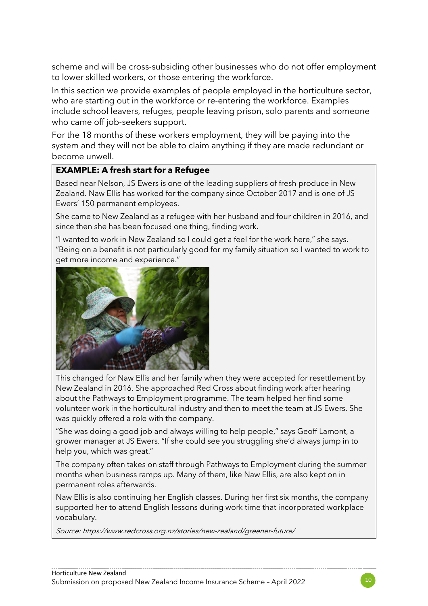scheme and will be cross-subsiding other businesses who do not offer employment to lower skilled workers, or those entering the workforce.

In this section we provide examples of people employed in the horticulture sector, who are starting out in the workforce or re-entering the workforce. Examples include school leavers, refuges, people leaving prison, solo parents and someone who came off job-seekers support.

For the 18 months of these workers employment, they will be paying into the system and they will not be able to claim anything if they are made redundant or become unwell.

#### **EXAMPLE: A fresh start for a Refugee**

Based near Nelson, JS Ewers is one of the leading suppliers of fresh produce in New Zealand. Naw Ellis has worked for the company since October 2017 and is one of JS Ewers' 150 permanent employees.

She came to New Zealand as a refugee with her husband and four children in 2016, and since then she has been focused one thing, finding work.

"I wanted to work in New Zealand so I could get a feel for the work here," she says. "Being on a benefit is not particularly good for my family situation so I wanted to work to get more income and experience."



This changed for Naw Ellis and her family when they were accepted for resettlement by New Zealand in 2016. She approached Red Cross about finding work after hearing about the Pathways to Employment programme. The team helped her find some volunteer work in the horticultural industry and then to meet the team at JS Ewers. She was quickly offered a role with the company.

"She was doing a good job and always willing to help people," says Geoff Lamont, a grower manager at JS Ewers. "If she could see you struggling she'd always jump in to help you, which was great."

The company often takes on staff through Pathways to Employment during the summer months when business ramps up. Many of them, like Naw Ellis, are also kept on in permanent roles afterwards.

Naw Ellis is also continuing her English classes. During her first six months, the company supported her to attend English lessons during work time that incorporated workplace vocabulary.

Source: https://www.redcross.org.nz/stories/new-zealand/greener-future/

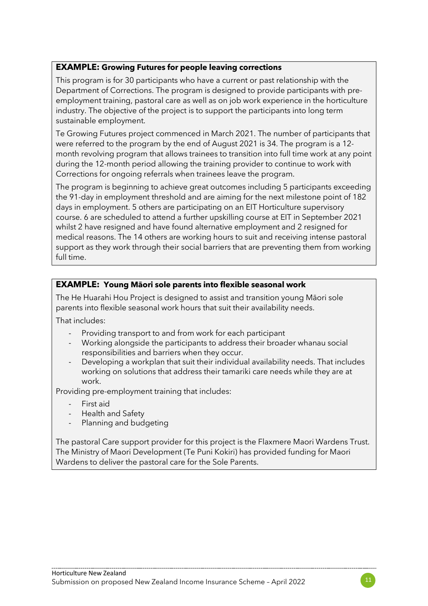#### **EXAMPLE: Growing Futures for people leaving corrections**

This program is for 30 participants who have a current or past relationship with the Department of Corrections. The program is designed to provide participants with preemployment training, pastoral care as well as on job work experience in the horticulture industry. The objective of the project is to support the participants into long term sustainable employment.

Te Growing Futures project commenced in March 2021. The number of participants that were referred to the program by the end of August 2021 is 34. The program is a 12 month revolving program that allows trainees to transition into full time work at any point during the 12-month period allowing the training provider to continue to work with Corrections for ongoing referrals when trainees leave the program.

The program is beginning to achieve great outcomes including 5 participants exceeding the 91-day in employment threshold and are aiming for the next milestone point of 182 days in employment. 5 others are participating on an EIT Horticulture supervisory course. 6 are scheduled to attend a further upskilling course at EIT in September 2021 whilst 2 have resigned and have found alternative employment and 2 resigned for medical reasons. The 14 others are working hours to suit and receiving intense pastoral support as they work through their social barriers that are preventing them from working full time.

#### **EXAMPLE: Young Māori sole parents into flexible seasonal work**

The He Huarahi Hou Project is designed to assist and transition young Māori sole parents into flexible seasonal work hours that suit their availability needs.

That includes:

- Providing transport to and from work for each participant
- Working alongside the participants to address their broader whanau social responsibilities and barriers when they occur.
- Developing a workplan that suit their individual availability needs. That includes working on solutions that address their tamariki care needs while they are at work.

Providing pre-employment training that includes:

- First aid
- Health and Safety
- Planning and budgeting

The pastoral Care support provider for this project is the Flaxmere Maori Wardens Trust. The Ministry of Maori Development (Te Puni Kokiri) has provided funding for Maori Wardens to deliver the pastoral care for the Sole Parents.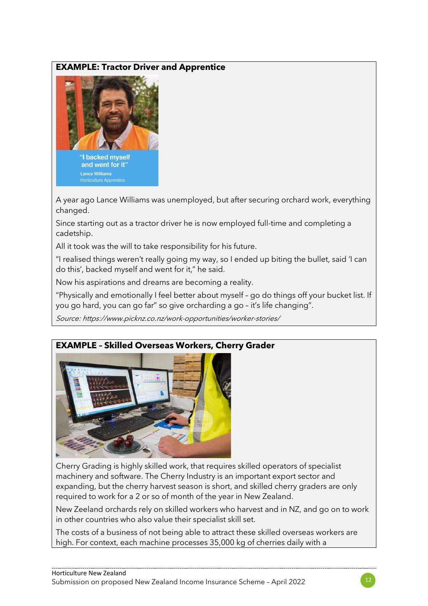#### **EXAMPLE: Tractor Driver and Apprentice**



and went for it" **Lance Williams** 

A year ago Lance Williams was unemployed, but after securing orchard work, everything changed.

Since starting out as a tractor driver he is now employed full-time and completing a cadetship.

All it took was the will to take responsibility for his future.

"I realised things weren't really going my way, so I ended up biting the bullet, said 'I can do this', backed myself and went for it," he said.

Now his aspirations and dreams are becoming a reality.

"Physically and emotionally I feel better about myself – go do things off your bucket list. If you go hard, you can go far" so give orcharding a go – it's life changing".

Source: https://www.picknz.co.nz/work-opportunities/worker-stories/

#### **EXAMPLE – Skilled Overseas Workers, Cherry Grader**



Cherry Grading is highly skilled work, that requires skilled operators of specialist machinery and software. The Cherry Industry is an important export sector and expanding, but the cherry harvest season is short, and skilled cherry graders are only required to work for a 2 or so of month of the year in New Zealand.

New Zeeland orchards rely on skilled workers who harvest and in NZ, and go on to work in other countries who also value their specialist skill set.

The costs of a business of not being able to attract these skilled overseas workers are high. For context, each machine processes 35,000 kg of cherries daily with a

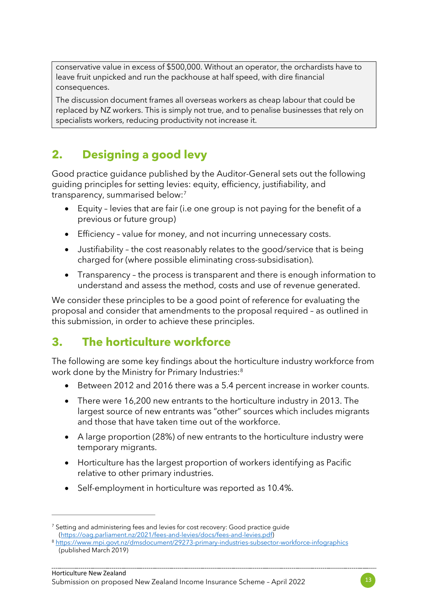conservative value in excess of \$500,000. Without an operator, the orchardists have to leave fruit unpicked and run the packhouse at half speed, with dire financial consequences.

The discussion document frames all overseas workers as cheap labour that could be replaced by NZ workers. This is simply not true, and to penalise businesses that rely on specialists workers, reducing productivity not increase it.

# **2. Designing a good levy**

Good practice guidance published by the Auditor-General sets out the following guiding principles for setting levies: equity, efficiency, justifiability, and transparency, summarised below[:7](#page-12-0)

- Equity levies that are fair (i.e one group is not paying for the benefit of a previous or future group)
- Efficiency value for money, and not incurring unnecessary costs.
- Justifiability the cost reasonably relates to the good/service that is being charged for (where possible eliminating cross-subsidisation).
- Transparency the process is transparent and there is enough information to understand and assess the method, costs and use of revenue generated.

We consider these principles to be a good point of reference for evaluating the proposal and consider that amendments to the proposal required – as outlined in this submission, in order to achieve these principles.

## **3. The horticulture workforce**

The following are some key findings about the horticulture industry workforce from work done by the Ministry for Primary Industries:<sup>[8](#page-12-1)</sup>

- Between 2012 and 2016 there was a 5.4 percent increase in worker counts.
- There were 16,200 new entrants to the horticulture industry in 2013. The largest source of new entrants was "other" sources which includes migrants and those that have taken time out of the workforce.
- A large proportion (28%) of new entrants to the horticulture industry were temporary migrants.
- Horticulture has the largest proportion of workers identifying as Pacific relative to other primary industries.
- Self-employment in horticulture was reported as 10.4%.



<span id="page-12-0"></span><sup>&</sup>lt;sup>7</sup> Setting and administering fees and levies for cost recovery: Good practice guide

<span id="page-12-1"></span>[<sup>\(</sup>https://oag.parliament.nz/2021/fees-and-levies/docs/fees-and-levies.pdf\)](https://oag.parliament.nz/2021/fees-and-levies/docs/fees-and-levies.pdf) 8 <https://www.mpi.govt.nz/dmsdocument/29273-primary-industries-subsector-workforce-infographics> (published March 2019)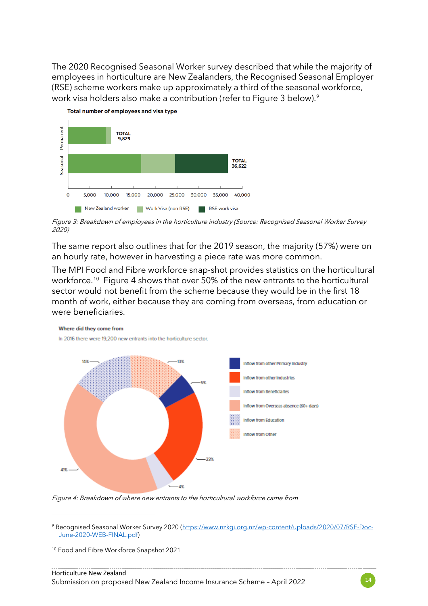The 2020 Recognised Seasonal Worker survey described that while the majority of employees in horticulture are New Zealanders, the Recognised Seasonal Employer (RSE) scheme workers make up approximately a third of the seasonal workforce, work visa holders also make a contribution (refer to Figure 3 below).<sup>[9](#page-13-0)</sup>



Figure 3: Breakdown of employees in the horticulture industry (Source: Recognised Seasonal Worker Survey 2020)

The same report also outlines that for the 2019 season, the majority (57%) were on an hourly rate, however in harvesting a piece rate was more common.

The MPI Food and Fibre workforce snap-shot provides statistics on the horticultural workforce. [10](#page-13-1) Figure 4 shows that over 50% of the new entrants to the horticultural sector would not benefit from the scheme because they would be in the first 18 month of work, either because they are coming from overseas, from education or were beneficiaries.



Figure 4: Breakdown of where new entrants to the horticultural workforce came from

<span id="page-13-0"></span><sup>9</sup> Recognised Seasonal Worker Survey 2020 [\(https://www.nzkgi.org.nz/wp-content/uploads/2020/07/RSE-Doc-](https://www.nzkgi.org.nz/wp-content/uploads/2020/07/RSE-Doc-June-2020-WEB-FINAL.pdf)[June-2020-WEB-FINAL.pdf\)](https://www.nzkgi.org.nz/wp-content/uploads/2020/07/RSE-Doc-June-2020-WEB-FINAL.pdf)

<span id="page-13-1"></span><sup>10</sup> Food and Fibre Workforce Snapshot 2021

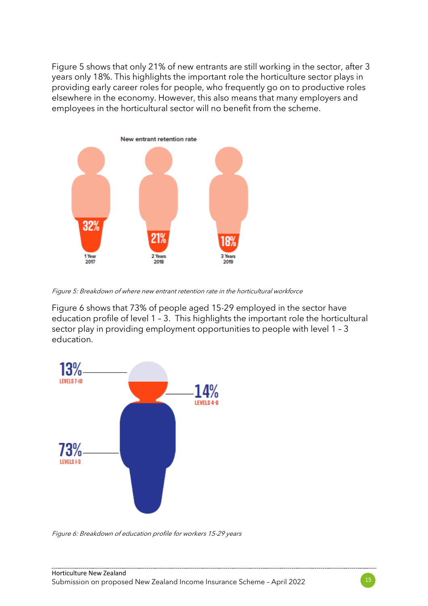Figure 5 shows that only 21% of new entrants are still working in the sector, after 3 years only 18%. This highlights the important role the horticulture sector plays in providing early career roles for people, who frequently go on to productive roles elsewhere in the economy. However, this also means that many employers and employees in the horticultural sector will no benefit from the scheme.



Figure 5: Breakdown of where new entrant retention rate in the horticultural workforce

Figure 6 shows that 73% of people aged 15-29 employed in the sector have education profile of level 1 – 3. This highlights the important role the horticultural sector play in providing employment opportunities to people with level 1 – 3 education.



Figure 6: Breakdown of education profile for workers 15-29 years

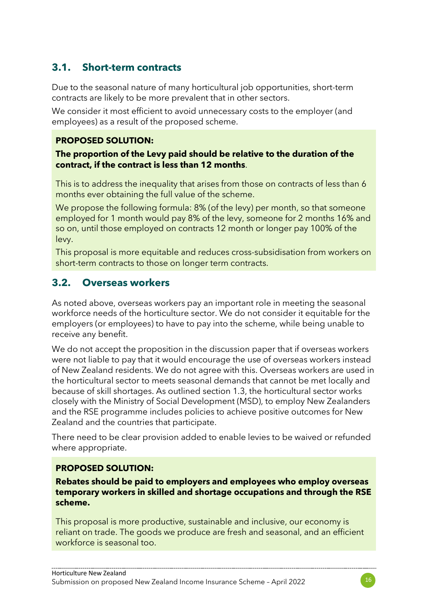### **3.1. Short-term contracts**

Due to the seasonal nature of many horticultural job opportunities, short-term contracts are likely to be more prevalent that in other sectors.

We consider it most efficient to avoid unnecessary costs to the employer (and employees) as a result of the proposed scheme.

#### **PROPOSED SOLUTION:**

#### **The proportion of the Levy paid should be relative to the duration of the contract, if the contract is less than 12 months**.

This is to address the inequality that arises from those on contracts of less than 6 months ever obtaining the full value of the scheme.

We propose the following formula: 8% (of the levy) per month, so that someone employed for 1 month would pay 8% of the levy, someone for 2 months 16% and so on, until those employed on contracts 12 month or longer pay 100% of the levy.

This proposal is more equitable and reduces cross-subsidisation from workers on short-term contracts to those on longer term contracts.

### **3.2. Overseas workers**

As noted above, overseas workers pay an important role in meeting the seasonal workforce needs of the horticulture sector. We do not consider it equitable for the employers (or employees) to have to pay into the scheme, while being unable to receive any benefit.

We do not accept the proposition in the discussion paper that if overseas workers were not liable to pay that it would encourage the use of overseas workers instead of New Zealand residents. We do not agree with this. Overseas workers are used in the horticultural sector to meets seasonal demands that cannot be met locally and because of skill shortages. As outlined section 1.3, the horticultural sector works closely with the Ministry of Social Development (MSD), to employ New Zealanders and the RSE programme includes policies to achieve positive outcomes for New Zealand and the countries that participate.

There need to be clear provision added to enable levies to be waived or refunded where appropriate.

#### **PROPOSED SOLUTION:**

**Rebates should be paid to employers and employees who employ overseas temporary workers in skilled and shortage occupations and through the RSE scheme.**

This proposal is more productive, sustainable and inclusive, our economy is reliant on trade. The goods we produce are fresh and seasonal, and an efficient workforce is seasonal too.

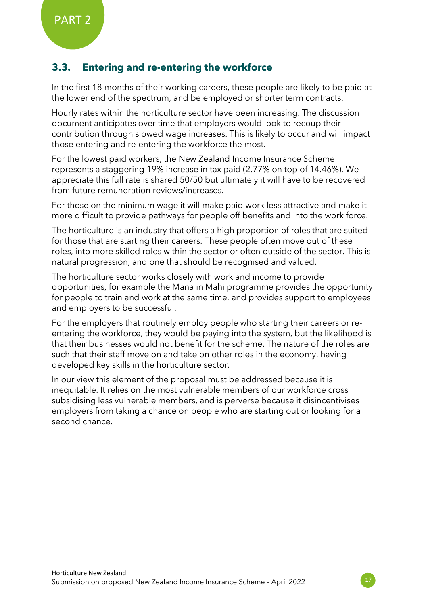## **3.3. Entering and re-entering the workforce**

In the first 18 months of their working careers, these people are likely to be paid at the lower end of the spectrum, and be employed or shorter term contracts.

Hourly rates within the horticulture sector have been increasing. The discussion document anticipates over time that employers would look to recoup their contribution through slowed wage increases. This is likely to occur and will impact those entering and re-entering the workforce the most.

For the lowest paid workers, the New Zealand Income Insurance Scheme represents a staggering 19% increase in tax paid (2.77% on top of 14.46%). We appreciate this full rate is shared 50/50 but ultimately it will have to be recovered from future remuneration reviews/increases.

For those on the minimum wage it will make paid work less attractive and make it more difficult to provide pathways for people off benefits and into the work force.

The horticulture is an industry that offers a high proportion of roles that are suited for those that are starting their careers. These people often move out of these roles, into more skilled roles within the sector or often outside of the sector. This is natural progression, and one that should be recognised and valued.

The horticulture sector works closely with work and income to provide opportunities, for example the Mana in Mahi programme provides the opportunity for people to train and work at the same time, and provides support to employees and employers to be successful.

For the employers that routinely employ people who starting their careers or reentering the workforce, they would be paying into the system, but the likelihood is that their businesses would not benefit for the scheme. The nature of the roles are such that their staff move on and take on other roles in the economy, having developed key skills in the horticulture sector.

In our view this element of the proposal must be addressed because it is inequitable. It relies on the most vulnerable members of our workforce cross subsidising less vulnerable members, and is perverse because it disincentivises employers from taking a chance on people who are starting out or looking for a second chance.